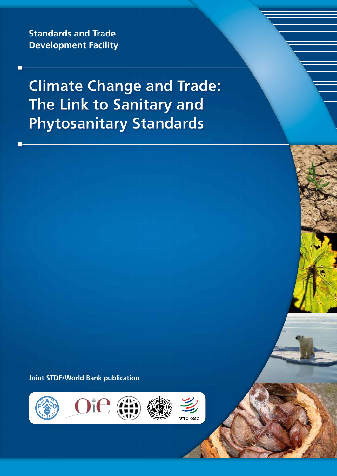**Standards and Trade Development Facility**

**Climate Change and Trade: The Link to Sanitary and Phytosanitary Standards**

**Joint STDF/World Bank publication**





**WTO OMO**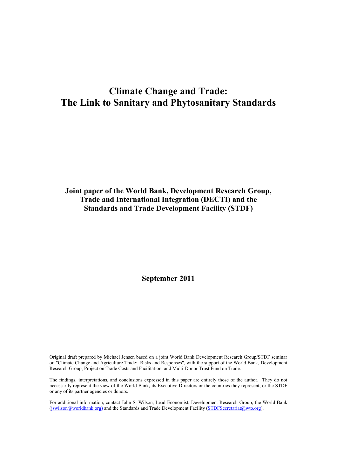# **Climate Change and Trade: The Link to Sanitary and Phytosanitary Standards**

# **Joint paper of the World Bank, Development Research Group, Trade and International Integration (DECTI) and the Standards and Trade Development Facility (STDF)**

**September 2011** 

Original draft prepared by Michael Jensen based on a joint World Bank Development Research Group/STDF seminar on "Climate Change and Agriculture Trade: Risks and Responses", with the support of the World Bank, Development Research Group, Project on Trade Costs and Facilitation, and Multi-Donor Trust Fund on Trade.

The findings, interpretations, and conclusions expressed in this paper are entirely those of the author. They do not necessarily represent the view of the World Bank, its Executive Directors or the countries they represent, or the STDF or any of its partner agencies or donors.

For additional information, contact John S. Wilson, Lead Economist, Development Research Group, the World Bank (jswilson@worldbank.org) and the Standards and Trade Development Facility (STDFSecretariat@wto.org).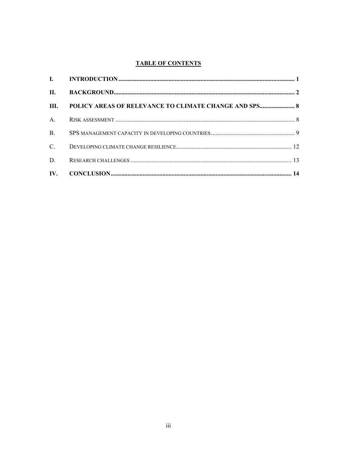## **TABLE OF CONTENTS**

|                | III. POLICY AREAS OF RELEVANCE TO CLIMATE CHANGE AND SPS 8 |  |
|----------------|------------------------------------------------------------|--|
|                |                                                            |  |
| B <sub>1</sub> |                                                            |  |
| $C_{\cdot}$    |                                                            |  |
| D.             |                                                            |  |
|                |                                                            |  |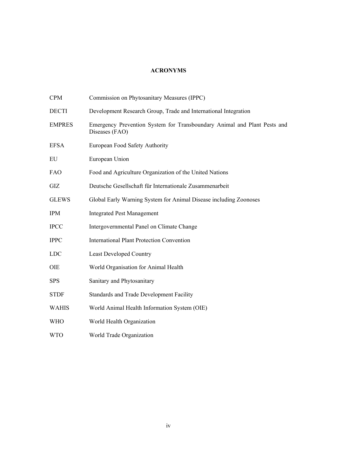## **ACRONYMS**

| <b>CPM</b>    | Commission on Phytosanitary Measures (IPPC)                                                |
|---------------|--------------------------------------------------------------------------------------------|
| <b>DECTI</b>  | Development Research Group, Trade and International Integration                            |
| <b>EMPRES</b> | Emergency Prevention System for Transboundary Animal and Plant Pests and<br>Diseases (FAO) |
| <b>EFSA</b>   | European Food Safety Authority                                                             |
| EU            | European Union                                                                             |
| <b>FAO</b>    | Food and Agriculture Organization of the United Nations                                    |
| GIZ           | Deutsche Gesellschaft für Internationale Zusammenarbeit                                    |
| <b>GLEWS</b>  | Global Early Warning System for Animal Disease including Zoonoses                          |
| <b>IPM</b>    | <b>Integrated Pest Management</b>                                                          |
| <b>IPCC</b>   | Intergovernmental Panel on Climate Change                                                  |
| <b>IPPC</b>   | <b>International Plant Protection Convention</b>                                           |
| <b>LDC</b>    | <b>Least Developed Country</b>                                                             |
| <b>OIE</b>    | World Organisation for Animal Health                                                       |
| <b>SPS</b>    | Sanitary and Phytosanitary                                                                 |
| <b>STDF</b>   | Standards and Trade Development Facility                                                   |
| <b>WAHIS</b>  | World Animal Health Information System (OIE)                                               |
| <b>WHO</b>    | World Health Organization                                                                  |
| <b>WTO</b>    | World Trade Organization                                                                   |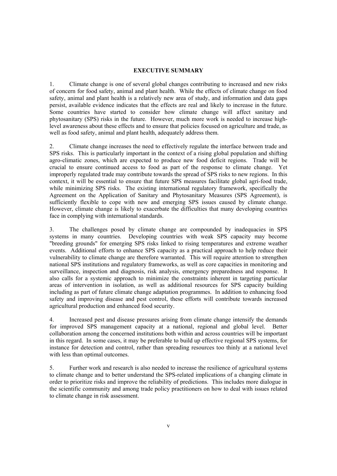#### **EXECUTIVE SUMMARY**

1. Climate change is one of several global changes contributing to increased and new risks of concern for food safety, animal and plant health. While the effects of climate change on food safety, animal and plant health is a relatively new area of study, and information and data gaps persist, available evidence indicates that the effects are real and likely to increase in the future. Some countries have started to consider how climate change will affect sanitary and phytosanitary (SPS) risks in the future. However, much more work is needed to increase highlevel awareness about these effects and to ensure that policies focused on agriculture and trade, as well as food safety, animal and plant health, adequately address them.

2. Climate change increases the need to effectively regulate the interface between trade and SPS risks. This is particularly important in the context of a rising global population and shifting agro-climatic zones, which are expected to produce new food deficit regions. Trade will be crucial to ensure continued access to food as part of the response to climate change. Yet improperly regulated trade may contribute towards the spread of SPS risks to new regions. In this context, it will be essential to ensure that future SPS measures facilitate global agri-food trade, while minimizing SPS risks. The existing international regulatory framework, specifically the Agreement on the Application of Sanitary and Phytosanitary Measures (SPS Agreement), is sufficiently flexible to cope with new and emerging SPS issues caused by climate change. However, climate change is likely to exacerbate the difficulties that many developing countries face in complying with international standards.

3. The challenges posed by climate change are compounded by inadequacies in SPS systems in many countries. Developing countries with weak SPS capacity may become "breeding grounds" for emerging SPS risks linked to rising temperatures and extreme weather events. Additional efforts to enhance SPS capacity as a practical approach to help reduce their vulnerability to climate change are therefore warranted. This will require attention to strengthen national SPS institutions and regulatory frameworks, as well as core capacities in monitoring and surveillance, inspection and diagnosis, risk analysis, emergency preparedness and response. It also calls for a systemic approach to minimize the constraints inherent in targeting particular areas of intervention in isolation, as well as additional resources for SPS capacity building including as part of future climate change adaptation programmes. In addition to enhancing food safety and improving disease and pest control, these efforts will contribute towards increased agricultural production and enhanced food security.

4. Increased pest and disease pressures arising from climate change intensify the demands for improved SPS management capacity at a national, regional and global level. Better collaboration among the concerned institutions both within and across countries will be important in this regard. In some cases, it may be preferable to build up effective regional SPS systems, for instance for detection and control, rather than spreading resources too thinly at a national level with less than optimal outcomes.

5. Further work and research is also needed to increase the resilience of agricultural systems to climate change and to better understand the SPS-related implications of a changing climate in order to prioritize risks and improve the reliability of predictions. This includes more dialogue in the scientific community and among trade policy practitioners on how to deal with issues related to climate change in risk assessment.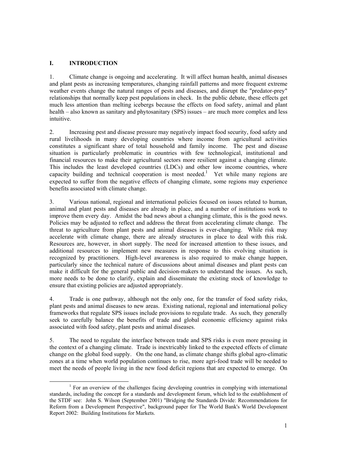## **I. INTRODUCTION**

1. Climate change is ongoing and accelerating. It will affect human health, animal diseases and plant pests as increasing temperatures, changing rainfall patterns and more frequent extreme weather events change the natural ranges of pests and diseases, and disrupt the "predator-prey" relationships that normally keep pest populations in check. In the public debate, these effects get much less attention than melting icebergs because the effects on food safety, animal and plant health – also known as sanitary and phytosanitary (SPS) issues – are much more complex and less intuitive.

2. Increasing pest and disease pressure may negatively impact food security, food safety and rural livelihoods in many developing countries where income from agricultural activities constitutes a significant share of total household and family income. The pest and disease situation is particularly problematic in countries with few technological, institutional and financial resources to make their agricultural sectors more resilient against a changing climate. This includes the least developed countries (LDCs) and other low income countries, where capacity building and technical cooperation is most needed.<sup>1</sup> Yet while many regions are expected to suffer from the negative effects of changing climate, some regions may experience benefits associated with climate change.

3. Various national, regional and international policies focused on issues related to human, animal and plant pests and diseases are already in place, and a number of institutions work to improve them every day. Amidst the bad news about a changing climate, this is the good news. Policies may be adjusted to reflect and address the threat from accelerating climate change. The threat to agriculture from plant pests and animal diseases is ever-changing. While risk may accelerate with climate change, there are already structures in place to deal with this risk. Resources are, however, in short supply. The need for increased attention to these issues, and additional resources to implement new measures in response to this evolving situation is recognized by practitioners. High-level awareness is also required to make change happen, particularly since the technical nature of discussions about animal diseases and plant pests can make it difficult for the general public and decision-makers to understand the issues. As such, more needs to be done to clarify, explain and disseminate the existing stock of knowledge to ensure that existing policies are adjusted appropriately.

4. Trade is one pathway, although not the only one, for the transfer of food safety risks, plant pests and animal diseases to new areas. Existing national, regional and international policy frameworks that regulate SPS issues include provisions to regulate trade. As such, they generally seek to carefully balance the benefits of trade and global economic efficiency against risks associated with food safety, plant pests and animal diseases.

5. The need to regulate the interface between trade and SPS risks is even more pressing in the context of a changing climate. Trade is inextricably linked to the expected effects of climate change on the global food supply. On the one hand, as climate change shifts global agro-climatic zones at a time when world population continues to rise, more agri-food trade will be needed to meet the needs of people living in the new food deficit regions that are expected to emerge. On

<sup>&</sup>lt;u>1</u> <sup>1</sup> For an overview of the challenges facing developing countries in complying with international standards, including the concept for a standards and development forum, which led to the establishment of the STDF see: John S. Wilson (September 2001) "Bridging the Standards Divide: Recommendations for Reform from a Development Perspective", background paper for The World Bank's World Development Report 2002: Building Institutions for Markets.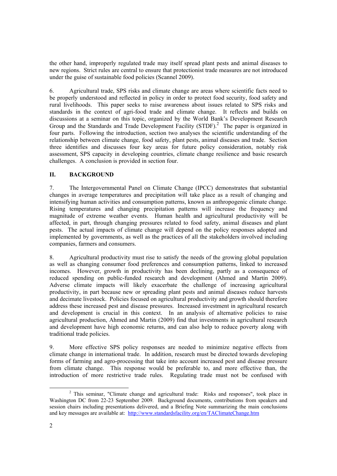the other hand, improperly regulated trade may itself spread plant pests and animal diseases to new regions. Strict rules are central to ensure that protectionist trade measures are not introduced under the guise of sustainable food policies (Scannel 2009).

6. Agricultural trade, SPS risks and climate change are areas where scientific facts need to be properly understood and reflected in policy in order to protect food security, food safety and rural livelihoods. This paper seeks to raise awareness about issues related to SPS risks and standards in the context of agri-food trade and climate change. It reflects and builds on discussions at a seminar on this topic, organized by the World Bank's Development Research Group and the Standards and Trade Development Facility (STDF).<sup>2</sup> The paper is organized in four parts. Following the introduction, section two analyses the scientific understanding of the relationship between climate change, food safety, plant pests, animal diseases and trade. Section three identifies and discusses four key areas for future policy consideration, notably risk assessment, SPS capacity in developing countries, climate change resilience and basic research challenges. A conclusion is provided in section four.

## **II. BACKGROUND**

7. The Intergovernmental Panel on Climate Change (IPCC) demonstrates that substantial changes in average temperatures and precipitation will take place as a result of changing and intensifying human activities and consumption patterns, known as anthropogenic climate change. Rising temperatures and changing precipitation patterns will increase the frequency and magnitude of extreme weather events. Human health and agricultural productivity will be affected, in part, through changing pressures related to food safety, animal diseases and plant pests. The actual impacts of climate change will depend on the policy responses adopted and implemented by governments, as well as the practices of all the stakeholders involved including companies, farmers and consumers.

8. Agricultural productivity must rise to satisfy the needs of the growing global population as well as changing consumer food preferences and consumption patterns, linked to increased incomes. However, growth in productivity has been declining, partly as a consequence of reduced spending on public-funded research and development (Ahmed and Martin 2009). Adverse climate impacts will likely exacerbate the challenge of increasing agricultural productivity, in part because new or spreading plant pests and animal diseases reduce harvests and decimate livestock. Policies focused on agricultural productivity and growth should therefore address these increased pest and disease pressures. Increased investment in agricultural research and development is crucial in this context. In an analysis of alternative policies to raise agricultural production, Ahmed and Martin (2009) find that investments in agricultural research and development have high economic returns, and can also help to reduce poverty along with traditional trade policies.

9. More effective SPS policy responses are needed to minimize negative effects from climate change in international trade. In addition, research must be directed towards developing forms of farming and agro-processing that take into account increased pest and disease pressure from climate change. This response would be preferable to, and more effective than, the introduction of more restrictive trade rules. Regulating trade must not be confused with

 $\overline{\phantom{a}}$ <sup>2</sup> This seminar, "Climate change and agricultural trade: Risks and responses", took place in Washington DC from 22-23 September 2009. Background documents, contributions from speakers and session chairs including presentations delivered, and a Briefing Note summarizing the main conclusions and key messages are available at: http://www.standardsfacility.org/en/TAClimateChange.htm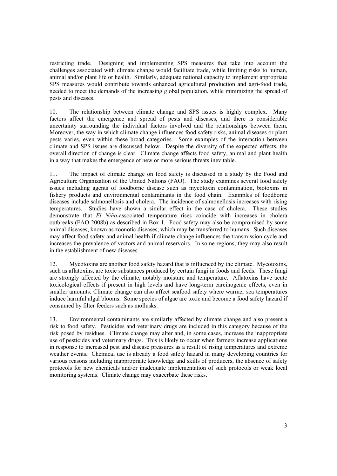restricting trade. Designing and implementing SPS measures that take into account the challenges associated with climate change would facilitate trade, while limiting risks to human, animal and/or plant life or health. Similarly, adequate national capacity to implement appropriate SPS measures would contribute towards enhanced agricultural production and agri-food trade, needed to meet the demands of the increasing global population, while minimizing the spread of pests and diseases.

10. The relationship between climate change and SPS issues is highly complex. Many factors affect the emergence and spread of pests and diseases, and there is considerable uncertainty surrounding the individual factors involved and the relationships between them. Moreover, the way in which climate change influences food safety risks, animal diseases or plant pests varies, even within these broad categories. Some examples of the interaction between climate and SPS issues are discussed below. Despite the diversity of the expected effects, the overall direction of change is clear. Climate change affects food safety, animal and plant health in a way that makes the emergence of new or more serious threats inevitable.

11. The impact of climate change on food safety is discussed in a study by the Food and Agriculture Organization of the United Nations (FAO). The study examines several food safety issues including agents of foodborne disease such as mycotoxin contamination, biotoxins in fishery products and environmental contaminants in the food chain. Examples of foodborne diseases include salmonellosis and cholera. The incidence of salmonellosis increases with rising temperatures. Studies have shown a similar effect in the case of cholera. These studies demonstrate that *El Niño*-associated temperature rises coincide with increases in cholera outbreaks (FAO 2008b) as described in Box 1. Food safety may also be compromised by some animal diseases, known as zoonotic diseases, which may be transferred to humans. Such diseases may affect food safety and animal health if climate change influences the transmission cycle and increases the prevalence of vectors and animal reservoirs. In some regions, they may also result in the establishment of new diseases.

12. Mycotoxins are another food safety hazard that is influenced by the climate. Mycotoxins, such as aflatoxins, are toxic substances produced by certain fungi in foods and feeds. These fungi are strongly affected by the climate, notably moisture and temperature. Aflatoxins have acute toxicological effects if present in high levels and have long-term carcinogenic effects, even in smaller amounts. Climate change can also affect seafood safety where warmer sea temperatures induce harmful algal blooms. Some species of algae are toxic and become a food safety hazard if consumed by filter feeders such as mollusks.

13. Environmental contaminants are similarly affected by climate change and also present a risk to food safety. Pesticides and veterinary drugs are included in this category because of the risk posed by residues. Climate change may alter and, in some cases, increase the inappropriate use of pesticides and veterinary drugs. This is likely to occur when farmers increase applications in response to increased pest and disease pressures as a result of rising temperatures and extreme weather events. Chemical use is already a food safety hazard in many developing countries for various reasons including inappropriate knowledge and skills of producers, the absence of safety protocols for new chemicals and/or inadequate implementation of such protocols or weak local monitoring systems. Climate change may exacerbate these risks.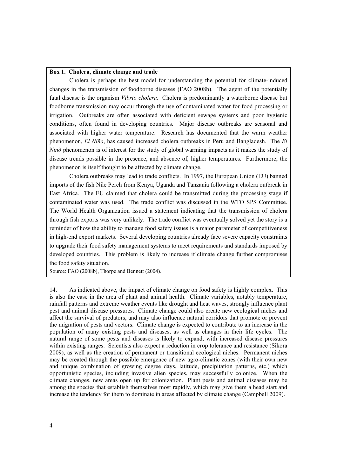#### **Box 1. Cholera, climate change and trade**

 Cholera is perhaps the best model for understanding the potential for climate-induced changes in the transmission of foodborne diseases (FAO 2008b). The agent of the potentially fatal disease is the organism *Vibrio cholera*. Cholera is predominantly a waterborne disease but foodborne transmission may occur through the use of contaminated water for food processing or irrigation. Outbreaks are often associated with deficient sewage systems and poor hygienic conditions, often found in developing countries. Major disease outbreaks are seasonal and associated with higher water temperature. Research has documented that the warm weather phenomenon, *El Niño*, has caused increased cholera outbreaks in Peru and Bangladesh. The *El Ninõ* phenomenon is of interest for the study of global warming impacts as it makes the study of disease trends possible in the presence, and absence of, higher temperatures. Furthermore, the phenomenon is itself thought to be affected by climate change.

 Cholera outbreaks may lead to trade conflicts. In 1997, the European Union (EU) banned imports of the fish Nile Perch from Kenya, Uganda and Tanzania following a cholera outbreak in East Africa. The EU claimed that cholera could be transmitted during the processing stage if contaminated water was used. The trade conflict was discussed in the WTO SPS Committee. The World Health Organization issued a statement indicating that the transmission of cholera through fish exports was very unlikely. The trade conflict was eventually solved yet the story is a reminder of how the ability to manage food safety issues is a major parameter of competitiveness in high-end export markets. Several developing countries already face severe capacity constraints to upgrade their food safety management systems to meet requirements and standards imposed by developed countries. This problem is likely to increase if climate change further compromises the food safety situation.

Source: FAO (2008b), Thorpe and Bennett (2004).

14. As indicated above, the impact of climate change on food safety is highly complex. This is also the case in the area of plant and animal health. Climate variables, notably temperature, rainfall patterns and extreme weather events like drought and heat waves, strongly influence plant pest and animal disease pressures. Climate change could also create new ecological niches and affect the survival of predators, and may also influence natural corridors that promote or prevent the migration of pests and vectors. Climate change is expected to contribute to an increase in the population of many existing pests and diseases, as well as changes in their life cycles. The natural range of some pests and diseases is likely to expand, with increased disease pressures within existing ranges. Scientists also expect a reduction in crop tolerance and resistance (Sikora 2009), as well as the creation of permanent or transitional ecological niches. Permanent niches may be created through the possible emergence of new agro-climatic zones (with their own new and unique combination of growing degree days, latitude, precipitation patterns, etc.) which opportunistic species, including invasive alien species, may successfully colonize. When the climate changes, new areas open up for colonization. Plant pests and animal diseases may be among the species that establish themselves most rapidly, which may give them a head start and increase the tendency for them to dominate in areas affected by climate change (Campbell 2009).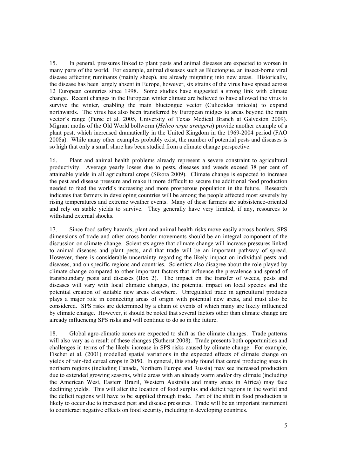15. In general, pressures linked to plant pests and animal diseases are expected to worsen in many parts of the world. For example, animal diseases such as Bluetongue, an insect-borne viral disease affecting ruminants (mainly sheep), are already migrating into new areas. Historically, the disease has been largely absent in Europe, however, six strains of the virus have spread across 12 European countries since 1998. Some studies have suggested a strong link with climate change. Recent changes in the European winter climate are believed to have allowed the virus to survive the winter, enabling the main bluetongue vector (Culicoides imicola) to expand northwards. The virus has also been transferred by European midges to areas beyond the main vector's range (Purse et al. 2005, University of Texas Medical Branch at Galveston 2009). Migrant moths of the Old World bollworm (*Helicoverpa armigera*) provide another example of a plant pest, which increased dramatically in the United Kingdom in the 1969-2004 period (FAO 2008a). While many other examples probably exist, the number of potential pests and diseases is so high that only a small share has been studied from a climate change perspective.

16. Plant and animal health problems already represent a severe constraint to agricultural productivity. Average yearly losses due to pests, diseases and weeds exceed 38 per cent of attainable yields in all agricultural crops (Sikora 2009). Climate change is expected to increase the pest and disease pressure and make it more difficult to secure the additional food production needed to feed the world's increasing and more prosperous population in the future. Research indicates that farmers in developing countries will be among the people affected most severely by rising temperatures and extreme weather events. Many of these farmers are subsistence-oriented and rely on stable yields to survive. They generally have very limited, if any, resources to withstand external shocks.

17. Since food safety hazards, plant and animal health risks move easily across borders, SPS dimensions of trade and other cross-border movements should be an integral component of the discussion on climate change. Scientists agree that climate change will increase pressures linked to animal diseases and plant pests, and that trade will be an important pathway of spread. However, there is considerable uncertainty regarding the likely impact on individual pests and diseases, and on specific regions and countries. Scientists also disagree about the role played by climate change compared to other important factors that influence the prevalence and spread of transboundary pests and diseases (Box 2). The impact on the transfer of weeds, pests and diseases will vary with local climatic changes, the potential impact on local species and the potential creation of suitable new areas elsewhere. Unregulated trade in agricultural products plays a major role in connecting areas of origin with potential new areas, and must also be considered. SPS risks are determined by a chain of events of which many are likely influenced by climate change. However, it should be noted that several factors other than climate change are already influencing SPS risks and will continue to do so in the future.

18. Global agro-climatic zones are expected to shift as the climate changes. Trade patterns will also vary as a result of these changes (Sutherst 2008). Trade presents both opportunities and challenges in terms of the likely increase in SPS risks caused by climate change. For example, Fischer et al. (2001) modelled spatial variations in the expected effects of climate change on yields of rain-fed cereal crops in 2050. In general, this study found that cereal producing areas in northern regions (including Canada, Northern Europe and Russia) may see increased production due to extended growing seasons, while areas with an already warm and/or dry climate (including the American West, Eastern Brazil, Western Australia and many areas in Africa) may face declining yields. This will alter the location of food surplus and deficit regions in the world and the deficit regions will have to be supplied through trade. Part of the shift in food production is likely to occur due to increased pest and disease pressures. Trade will be an important instrument to counteract negative effects on food security, including in developing countries.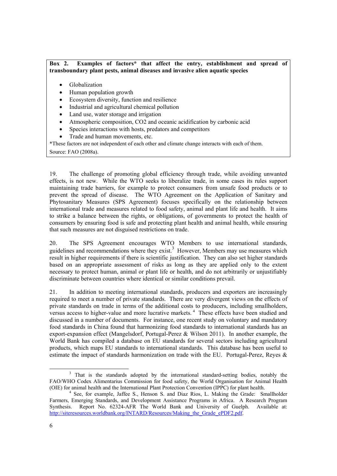#### **Box 2. Examples of factors\* that affect the entry, establishment and spread of transboundary plant pests, animal diseases and invasive alien aquatic species**

- Globalization
- Human population growth
- Ecosystem diversity, function and resilience
- Industrial and agricultural chemical pollution
- Land use, water storage and irrigation
- Atmospheric composition, CO2 and oceanic acidification by carbonic acid
- Species interactions with hosts, predators and competitors
- Trade and human movements, etc.

\*These factors are not independent of each other and climate change interacts with each of them. Source: FAO (2008a).

19. The challenge of promoting global efficiency through trade, while avoiding unwanted effects, is not new. While the WTO seeks to liberalize trade, in some cases its rules support maintaining trade barriers, for example to protect consumers from unsafe food products or to prevent the spread of disease. The WTO Agreement on the Application of Sanitary and Phytosanitary Measures (SPS Agreement) focuses specifically on the relationship between international trade and measures related to food safety, animal and plant life and health. It aims to strike a balance between the rights, or obligations, of governments to protect the health of consumers by ensuring food is safe and protecting plant health and animal health, while ensuring that such measures are not disguised restrictions on trade.

20. The SPS Agreement encourages WTO Members to use international standards, guidelines and recommendations where they exist. $3$  However, Members may use measures which result in higher requirements if there is scientific justification. They can also set higher standards based on an appropriate assessment of risks as long as they are applied only to the extent necessary to protect human, animal or plant life or health, and do not arbitrarily or unjustifiably discriminate between countries where identical or similar conditions prevail.

21. In addition to meeting international standards, producers and exporters are increasingly required to meet a number of private standards. There are very divergent views on the effects of private standards on trade in terms of the additional costs to producers, including smallholders, versus access to higher-value and more lucrative markets. 4 These effects have been studied and discussed in a number of documents. For instance, one recent study on voluntary and mandatory food standards in China found that harmonizing food standards to international standards has an export-expansion effect (Mangelsdorf, Portugal-Perez & Wilson 2011). In another example, the World Bank has compiled a database on EU standards for several sectors including agricultural products, which maps EU standards to international standards. This database has been useful to estimate the impact of standards harmonization on trade with the EU. Portugal-Perez, Reyes &

 <sup>3</sup>  $3$  That is the standards adopted by the international standard-setting bodies, notably the FAO/WHO Codex Alimentarius Commission for food safety, the World Organisation for Animal Health (OIE) for animal health and the International Plant Protection Convention (IPPC) for plant health. 4

<sup>&</sup>lt;sup>4</sup> See, for example, Jaffee S., Henson S. and Diaz Rios, L. Making the Grade: Smallholder Farmers, Emerging Standards, and Development Assistance Programs in Africa. A Research Program Synthesis. Report No. 62324-AFR The World Bank and University of Guelph. Available at: http://siteresources.worldbank.org/INTARD/Resources/Making\_the\_Grade\_ePDF2.pdf.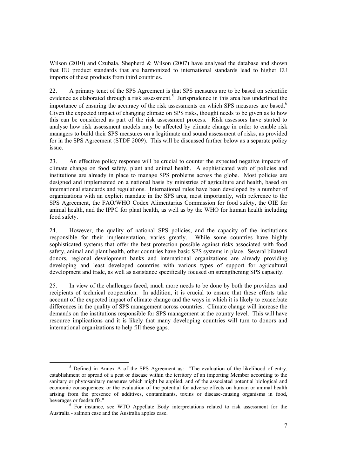Wilson (2010) and Czubala, Shepherd & Wilson (2007) have analysed the database and shown that EU product standards that are harmonized to international standards lead to higher EU imports of these products from third countries.

22. A primary tenet of the SPS Agreement is that SPS measures are to be based on scientific evidence as elaborated through a risk assessment.<sup>5</sup> Jurisprudence in this area has underlined the importance of ensuring the accuracy of the risk assessments on which SPS measures are based.<sup>6</sup> Given the expected impact of changing climate on SPS risks, thought needs to be given as to how this can be considered as part of the risk assessment process. Risk assessors have started to analyse how risk assessment models may be affected by climate change in order to enable risk managers to build their SPS measures on a legitimate and sound assessment of risks, as provided for in the SPS Agreement (STDF 2009). This will be discussed further below as a separate policy issue.

23. An effective policy response will be crucial to counter the expected negative impacts of climate change on food safety, plant and animal health. A sophisticated web of policies and institutions are already in place to manage SPS problems across the globe. Most policies are designed and implemented on a national basis by ministries of agriculture and health, based on international standards and regulations. International rules have been developed by a number of organizations with an explicit mandate in the SPS area, most importantly, with reference to the SPS Agreement, the FAO/WHO Codex Alimentarius Commission for food safety, the OIE for animal health, and the IPPC for plant health, as well as by the WHO for human health including food safety.

24. However, the quality of national SPS policies, and the capacity of the institutions responsible for their implementation, varies greatly. While some countries have highly sophisticated systems that offer the best protection possible against risks associated with food safety, animal and plant health, other countries have basic SPS systems in place. Several bilateral donors, regional development banks and international organizations are already providing developing and least developed countries with various types of support for agricultural development and trade, as well as assistance specifically focused on strengthening SPS capacity.

25. In view of the challenges faced, much more needs to be done by both the providers and recipients of technical cooperation. In addition, it is crucial to ensure that these efforts take account of the expected impact of climate change and the ways in which it is likely to exacerbate differences in the quality of SPS management across countries. Climate change will increase the demands on the institutions responsible for SPS management at the country level. This will have resource implications and it is likely that many developing countries will turn to donors and international organizations to help fill these gaps.

 $rac{1}{5}$  $5$  Defined in Annex A of the SPS Agreement as: "The evaluation of the likelihood of entry, establishment or spread of a pest or disease within the territory of an importing Member according to the sanitary or phytosanitary measures which might be applied, and of the associated potential biological and economic consequences; or the evaluation of the potential for adverse effects on human or animal health arising from the presence of additives, contaminants, toxins or disease-causing organisms in food, beverages or feedstuffs."

 $6$  For instance, see WTO Appellate Body interpretations related to risk assessment for the Australia - salmon case and the Australia apples case.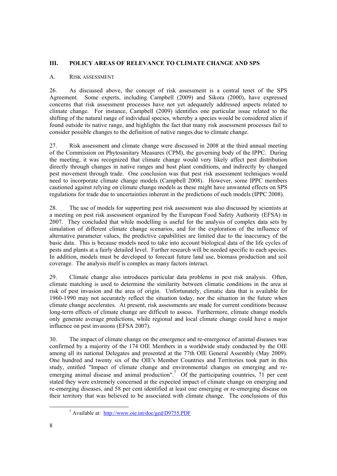#### **III. POLICY AREAS OF RELEVANCE TO CLIMATE CHANGE AND SPS**

#### A. RISK ASSESSMENT

26. As discussed above, the concept of risk assessment is a central tenet of the SPS Agreement. Some experts, including Campbell (2009) and Sikora (2000), have expressed Some experts, including Campbell (2009) and Sikora (2000), have expressed concerns that risk assessment processes have not yet adequately addressed aspects related to climate change. For instance, Campbell (2009) identifies one particular issue related to the shifting of the natural range of individual species, whereby a species would be considered alien if found outside its native range, and highlights the fact that many risk assessment processes fail to consider possible changes to the definition of native ranges due to climate change.

27. Risk assessment and climate change were discussed in 2008 at the third annual meeting of the Commission on Phytosanitary Measures (CPM), the governing body of the IPPC. During the meeting, it was recognized that climate change would very likely affect pest distribution directly through changes in native ranges and host plant conditions, and indirectly by changed pest movement through trade. One conclusion was that pest risk assessment techniques would need to incorporate climate change models (Campbell 2008). However, some IPPC members cautioned against relying on climate change models as these might have unwanted effects on SPS regulations for trade due to uncertainties inherent in the predictions of such models (IPPC 2008).

28. The use of models for supporting pest risk assessment was also discussed by scientists at a meeting on pest risk assessment organized by the European Food Safety Authority (EFSA) in 2007. They concluded that while modelling is useful for the analysis of complex data sets by simulation of different climate change scenarios, and for the exploration of the influence of alternative parameter values, the predictive capabilities are limited due to the inaccuracy of the basic data. This is because models need to take into account biological data of the life cycles of pests and plants at a fairly detailed level. Further research will be needed specific to each species. In addition, models must be developed to forecast future land use, biomass production and soil coverage. The analysis itself is complex as many factors interact.

29. Climate change also introduces particular data problems in pest risk analysis. Often, climate matching is used to determine the similarity between climatic conditions in the area at risk of pest invasion and the area of origin. Unfortunately, climatic data that is available for 1960-1990 may not accurately reflect the situation today, nor the situation in the future when climate change accelerates. At present, risk assessments are made for current conditions because long-term effects of climate change are difficult to assess. Furthermore, climate change models only generate average predictions, while regional and local climate change could have a major influence on pest invasions (EFSA 2007).

30. The impact of climate change on the emergence and re-emergence of animal diseases was confirmed by a majority of the 174 OIE Members in a worldwide study conducted by the OIE among all its national Delegates and presented at the 77th OIE General Assembly (May 2009). One hundred and twenty six of the OIE's Member Countries and Territories took part in this study, entitled "Impact of climate change and environmental changes on emerging and reemerging animal disease and animal production".<sup>7</sup> Of the participating countries, 71 per cent stated they were extremely concerned at the expected impact of climate change on emerging and re-emerging diseases, and 58 per cent identified at least one emerging or re-emerging disease on their territory that was believed to be associated with climate change. The conclusions of this

 <sup>7</sup> Available at: http://www.oie.int/doc/ged/D9755.PDF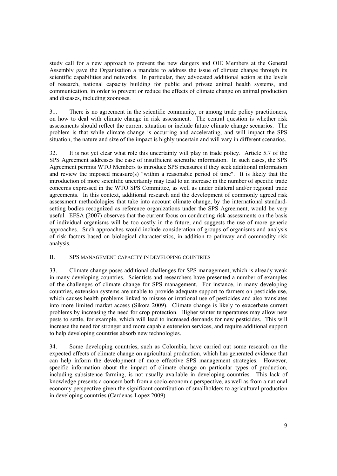study call for a new approach to prevent the new dangers and OIE Members at the General Assembly gave the Organisation a mandate to address the issue of climate change through its scientific capabilities and networks. In particular, they advocated additional action at the levels of research, national capacity building for public and private animal health systems, and communication, in order to prevent or reduce the effects of climate change on animal production and diseases, including zoonoses.

31. There is no agreement in the scientific community, or among trade policy practitioners, on how to deal with climate change in risk assessment. The central question is whether risk assessments should reflect the current situation or include future climate change scenarios. The problem is that while climate change is occurring and accelerating, and will impact the SPS situation, the nature and size of the impact is highly uncertain and will vary in different scenarios.

32. It is not yet clear what role this uncertainty will play in trade policy. Article 5.7 of the SPS Agreement addresses the case of insufficient scientific information. In such cases, the SPS Agreement permits WTO Members to introduce SPS measures if they seek additional information and review the imposed measure(s) "within a reasonable period of time". It is likely that the introduction of more scientific uncertainty may lead to an increase in the number of specific trade concerns expressed in the WTO SPS Committee, as well as under bilateral and/or regional trade agreements. In this context, additional research and the development of commonly agreed risk assessment methodologies that take into account climate change, by the international standardsetting bodies recognized as reference organizations under the SPS Agreement, would be very useful. EFSA (2007) observes that the current focus on conducting risk assessments on the basis of individual organisms will be too costly in the future, and suggests the use of more generic approaches. Such approaches would include consideration of groups of organisms and analysis of risk factors based on biological characteristics, in addition to pathway and commodity risk analysis.

#### B. SPS MANAGEMENT CAPACITY IN DEVELOPING COUNTRIES

33. Climate change poses additional challenges for SPS management, which is already weak in many developing countries. Scientists and researchers have presented a number of examples of the challenges of climate change for SPS management. For instance, in many developing countries, extension systems are unable to provide adequate support to farmers on pesticide use, which causes health problems linked to misuse or irrational use of pesticides and also translates into more limited market access (Sikora 2009). Climate change is likely to exacerbate current problems by increasing the need for crop protection. Higher winter temperatures may allow new pests to settle, for example, which will lead to increased demands for new pesticides. This will increase the need for stronger and more capable extension services, and require additional support to help developing countries absorb new technologies.

34. Some developing countries, such as Colombia, have carried out some research on the expected effects of climate change on agricultural production, which has generated evidence that can help inform the development of more effective SPS management strategies. However, specific information about the impact of climate change on particular types of production, including subsistence farming, is not usually available in developing countries. This lack of knowledge presents a concern both from a socio-economic perspective, as well as from a national economy perspective given the significant contribution of smallholders to agricultural production in developing countries (Cardenas-Lopez 2009).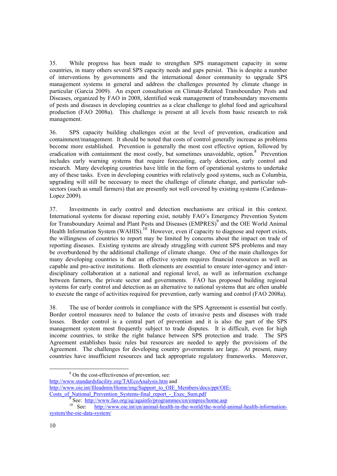35. While progress has been made to strengthen SPS management capacity in some countries, in many others several SPS capacity needs and gaps persist. This is despite a number of interventions by governments and the international donor community to upgrade SPS management systems in general and address the challenges presented by climate change in particular (Garcia 2009). An expert consultation on Climate-Related Transboundary Pests and Diseases, organized by FAO in 2008, identified weak management of transboundary movements of pests and diseases in developing countries as a clear challenge to global food and agricultural production (FAO 2008a). This challenge is present at all levels from basic research to risk management.

36. SPS capacity building challenges exist at the level of prevention, eradication and containment/management. It should be noted that costs of control generally increase as problems become more established. Prevention is generally the most cost effective option, followed by eradication with containment the most costly, but sometimes unavoidable, option.<sup>8</sup> Prevention includes early warning systems that require forecasting, early detection, early control and research. Many developing countries have little in the form of operational systems to undertake any of these tasks. Even in developing countries with relatively good systems, such as Columbia, upgrading will still be necessary to meet the challenge of climate change, and particular subsectors (such as small farmers) that are presently not well covered by existing systems (Cardenas-Lopez 2009).

37. Investments in early control and detection mechanisms are critical in this context. International systems for disease reporting exist, notably FAO's Emergency Prevention System for Transboundary Animal and Plant Pests and Diseases (EMPRES)<sup>9</sup> and the OIE World Animal Health Information System (WAHIS).<sup>10</sup> However, even if capacity to diagnose and report exists, the willingness of countries to report may be limited by concerns about the impact on trade of reporting diseases. Existing systems are already struggling with current SPS problems and may be overburdened by the additional challenge of climate change. One of the main challenges for many developing countries is that an effective system requires financial resources as well as capable and pro-active institutions. Both elements are essential to ensure inter-agency and interdisciplinary collaboration at a national and regional level, as well as information exchange between farmers, the private sector and governments. FAO has proposed building regional systems for early control and detection as an alternative to national systems that are often unable to execute the range of activities required for prevention, early warning and control (FAO 2008a).

38. The use of border controls in compliance with the SPS Agreement is essential but costly. Border control measures need to balance the costs of invasive pests and diseases with trade losses. Border control is a central part of prevention and it is also the part of the SPS management system most frequently subject to trade disputes. It is difficult, even for high income countries, to strike the right balance between SPS protection and trade. The SPS Agreement establishes basic rules but resources are needed to apply the provisions of the Agreement. The challenges for developing country governments are large. At present, many countries have insufficient resources and lack appropriate regulatory frameworks. Moreover,

 <sup>8</sup> <sup>8</sup> On the cost-effectiveness of prevention, see:

http://www.standardsfacility.org/TAEcoAnalysis.htm and

http://www.oie.int/fileadmin/Home/eng/Support\_to\_OIE\_Members/docs/ppt/OIE-Costs\_of\_National\_Prevention\_Systems-final\_report\_-\_Exec\_Sum.pdf<br>
9<br>
See:\_http://www.fao.org/ag/againfo/programmes/en/empres/home.asp

See: http://www.fao.org/ag/againfo/programmes/see/empression-programmes/home.<br><sup>10</sup> See: http://www.oie.int/en/animal-health-in-the-world/the-world-animal-health-informationsystem/the-oie-data-system/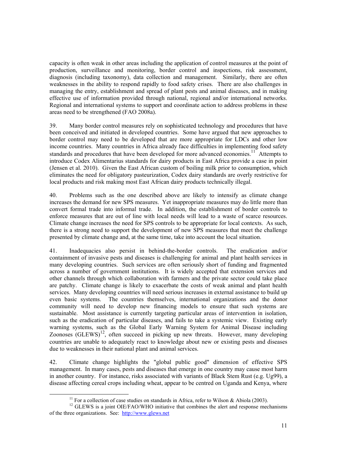capacity is often weak in other areas including the application of control measures at the point of production, surveillance and monitoring, border control and inspections, risk assessment, diagnosis (including taxonomy), data collection and management. Similarly, there are often weaknesses in the ability to respond rapidly to food safety crises. There are also challenges in managing the entry, establishment and spread of plant pests and animal diseases, and in making effective use of information provided through national, regional and/or international networks. Regional and international systems to support and coordinate action to address problems in these areas need to be strengthened (FAO 2008a).

39. Many border control measures rely on sophisticated technology and procedures that have been conceived and initiated in developed countries. Some have argued that new approaches to border control may need to be developed that are more appropriate for LDCs and other low income countries. Many countries in Africa already face difficulties in implementing food safety standards and procedures that have been developed for more advanced economies.<sup>11</sup> Attempts to introduce Codex Alimentarius standards for dairy products in East Africa provide a case in point (Jensen et al. 2010). Given the East African custom of boiling milk prior to consumption, which eliminates the need for obligatory pasteurization, Codex dairy standards are overly restrictive for local products and risk making most East African dairy products technically illegal.

40. Problems such as the one described above are likely to intensify as climate change increases the demand for new SPS measures. Yet inappropriate measures may do little more than convert formal trade into informal trade. In addition, the establishment of border controls to enforce measures that are out of line with local needs will lead to a waste of scarce resources. Climate change increases the need for SPS controls to be appropriate for local contexts. As such, there is a strong need to support the development of new SPS measures that meet the challenge presented by climate change and, at the same time, take into account the local situation.

41. Inadequacies also persist in behind-the-border controls. The eradication and/or containment of invasive pests and diseases is challenging for animal and plant health services in many developing countries. Such services are often seriously short of funding and fragmented across a number of government institutions. It is widely accepted that extension services and other channels through which collaboration with farmers and the private sector could take place are patchy. Climate change is likely to exacerbate the costs of weak animal and plant health services. Many developing countries will need serious increases in external assistance to build up even basic systems. The countries themselves, international organizations and the donor community will need to develop new financing models to ensure that such systems are sustainable. Most assistance is currently targeting particular areas of intervention in isolation, such as the eradication of particular diseases, and fails to take a systemic view. Existing early warning systems, such as the Global Early Warning System for Animal Disease including  $Z$ oonoses  $(GLEWS)^{12}$ , often succeed in picking up new threats. However, many developing countries are unable to adequately react to knowledge about new or existing pests and diseases due to weaknesses in their national plant and animal services.

42. Climate change highlights the "global public good" dimension of effective SPS management. In many cases, pests and diseases that emerge in one country may cause most harm in another country. For instance, risks associated with variants of Black Stem Rust (e.g. Ug99), a disease affecting cereal crops including wheat, appear to be centred on Uganda and Kenya, where

<sup>&</sup>lt;sup>11</sup> For a collection of case studies on standards in Africa, refer to Wilson & Abiola (2003).

<sup>&</sup>lt;sup>12</sup> GLEWS is a joint OIE/FAO/WHO initiative that combines the alert and response mechanisms of the three organizations. See: http://www.glews.net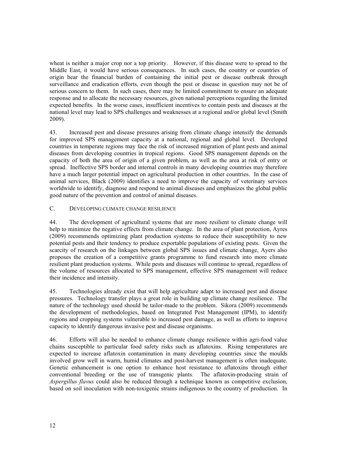wheat is neither a major crop nor a top priority. However, if this disease were to spread to the Middle East, it would have serious consequences. In such cases, the country or countries of origin bear the financial burden of containing the initial pest or disease outbreak through surveillance and eradication efforts, even though the pest or disease in question may not be of serious concern to them. In such cases, there may be limited commitment to ensure an adequate response and to allocate the necessary resources, given national perceptions regarding the limited expected benefits. In the worse cases, insufficient incentives to contain pests and diseases at the national level may lead to SPS challenges and weaknesses at a regional and/or global level (Smith 2009).

43. Increased pest and disease pressures arising from climate change intensify the demands for improved SPS management capacity at a national, regional and global level. Developed countries in temperate regions may face the risk of increased migration of plant pests and animal diseases from developing countries in tropical regions. Good SPS management depends on the capacity of both the area of origin of a given problem, as well as the area at risk of entry or spread. Ineffective SPS border and internal controls in many developing countries may therefore have a much larger potential impact on agricultural production in other countries. In the case of animal services, Black (2009) identifies a need to improve the capacity of veterinary services worldwide to identify, diagnose and respond to animal diseases and emphasizes the global public good nature of the prevention and control of animal diseases.

## C. DEVELOPING CLIMATE CHANGE RESILIENCE

44. The development of agricultural systems that are more resilient to climate change will help to minimize the negative effects from climate change. In the area of plant protection, Ayres (2009) recommends optimizing plant production systems to reduce their susceptibility to new potential pests and their tendency to produce exportable populations of existing pests. Given the scarcity of research on the linkages between global SPS issues and climate change, Ayers also proposes the creation of a competitive grants programme to fund research into more climate resilient plant production systems. While pests and diseases will continue to spread, regardless of the volume of resources allocated to SPS management, effective SPS management will reduce their incidence and intensity.

45. Technologies already exist that will help agriculture adapt to increased pest and disease pressures. Technology transfer plays a great role in building up climate change resilience. The nature of the technology used should be tailor-made to the problem. Sikora (2009) recommends the development of methodologies, based on Integrated Pest Management (IPM), to identify regions and cropping systems vulnerable to increased pest damage, as well as efforts to improve capacity to identify dangerous invasive pest and disease organisms.

46. Efforts will also be needed to enhance climate change resilience within agri-food value chains susceptible to particular food safety risks such as aflatoxins. Rising temperatures are expected to increase aflatoxin contamination in many developing countries since the moulds involved grow well in warm, humid climates and post-harvest management is often inadequate. Genetic enhancement is one option to enhance host resistance to aflatoxins through either conventional breeding or the use of transgenic plants. The aflatoxin-producing strain of *Aspergillus flavus* could also be reduced through a technique known as competitive exclusion, based on soil inoculation with non-toxigenic strains indigenous to the country of production. In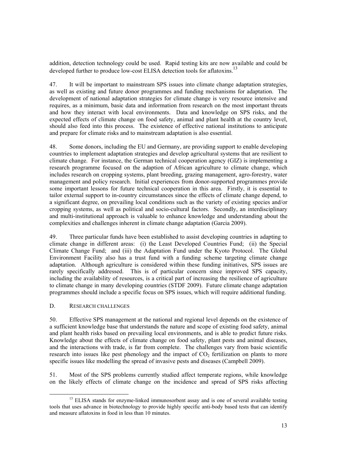addition, detection technology could be used. Rapid testing kits are now available and could be developed further to produce low-cost ELISA detection tools for aflatoxins.<sup>13</sup>

47. It will be important to mainstream SPS issues into climate change adaptation strategies, as well as existing and future donor programmes and funding mechanisms for adaptation. The development of national adaptation strategies for climate change is very resource intensive and requires, as a minimum, basic data and information from research on the most important threats and how they interact with local environments. Data and knowledge on SPS risks, and the expected effects of climate change on food safety, animal and plant health at the country level, should also feed into this process. The existence of effective national institutions to anticipate and prepare for climate risks and to mainstream adaptation is also essential.

48. Some donors, including the EU and Germany, are providing support to enable developing countries to implement adaptation strategies and develop agricultural systems that are resilient to climate change. For instance, the German technical cooperation agency (GIZ) is implementing a research programme focused on the adaption of African agriculture to climate change, which includes research on cropping systems, plant breeding, grazing management, agro-forestry, water management and policy research. Initial experiences from donor-supported programmes provide some important lessons for future technical cooperation in this area. Firstly, it is essential to tailor external support to in-country circumstances since the effects of climate change depend, to a significant degree, on prevailing local conditions such as the variety of existing species and/or cropping systems, as well as political and socio-cultural factors. Secondly, an interdisciplinary and multi-institutional approach is valuable to enhance knowledge and understanding about the complexities and challenges inherent in climate change adaptation (Garcia 2009).

49. Three particular funds have been established to assist developing countries in adapting to climate change in different areas: (i) the Least Developed Countries Fund; (ii) the Special Climate Change Fund; and (iii) the Adaptation Fund under the Kyoto Protocol. The Global Environment Facility also has a trust fund with a funding scheme targeting climate change adaptation. Although agriculture is considered within these funding initiatives, SPS issues are rarely specifically addressed. This is of particular concern since improved SPS capacity, including the availability of resources, is a critical part of increasing the resilience of agriculture to climate change in many developing countries (STDF 2009). Future climate change adaptation programmes should include a specific focus on SPS issues, which will require additional funding.

#### D. RESEARCH CHALLENGES

50. Effective SPS management at the national and regional level depends on the existence of a sufficient knowledge base that understands the nature and scope of existing food safety, animal and plant health risks based on prevailing local environments, and is able to predict future risks. Knowledge about the effects of climate change on food safety, plant pests and animal diseases, and the interactions with trade, is far from complete. The challenges vary from basic scientific research into issues like pest phenology and the impact of  $CO<sub>2</sub>$  fertilization on plants to more specific issues like modelling the spread of invasive pests and diseases (Campbell 2009).

51. Most of the SPS problems currently studied affect temperate regions, while knowledge on the likely effects of climate change on the incidence and spread of SPS risks affecting

<sup>&</sup>lt;sup>13</sup> ELISA stands for enzyme-linked immunosorbent assay and is one of several available testing tools that uses advance in biotechnology to provide highly specific anti-body based tests that can identify and measure aflatoxins in food in less than 10 minutes.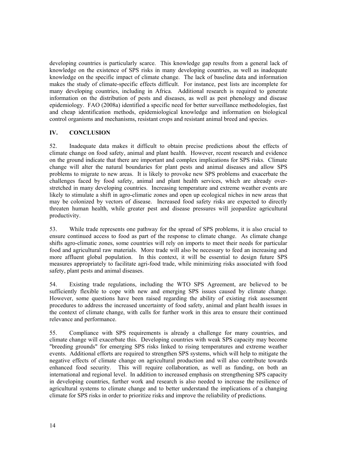developing countries is particularly scarce. This knowledge gap results from a general lack of knowledge on the existence of SPS risks in many developing countries, as well as inadequate knowledge on the specific impact of climate change. The lack of baseline data and information makes the study of climate-specific effects difficult. For instance, pest lists are incomplete for many developing countries, including in Africa. Additional research is required to generate information on the distribution of pests and diseases, as well as pest phenology and disease epidemiology. FAO (2008a) identified a specific need for better surveillance methodologies, fast and cheap identification methods, epidemiological knowledge and information on biological control organisms and mechanisms, resistant crops and resistant animal breed and species.

## **IV. CONCLUSION**

52. Inadequate data makes it difficult to obtain precise predictions about the effects of climate change on food safety, animal and plant health. However, recent research and evidence on the ground indicate that there are important and complex implications for SPS risks. Climate change will alter the natural boundaries for plant pests and animal diseases and allow SPS problems to migrate to new areas. It is likely to provoke new SPS problems and exacerbate the challenges faced by food safety, animal and plant health services, which are already overstretched in many developing countries. Increasing temperature and extreme weather events are likely to stimulate a shift in agro-climatic zones and open up ecological niches in new areas that may be colonized by vectors of disease. Increased food safety risks are expected to directly threaten human health, while greater pest and disease pressures will jeopardize agricultural productivity.

53. While trade represents one pathway for the spread of SPS problems, it is also crucial to ensure continued access to food as part of the response to climate change. As climate change shifts agro-climatic zones, some countries will rely on imports to meet their needs for particular food and agricultural raw materials. More trade will also be necessary to feed an increasing and more affluent global population. In this context, it will be essential to design future SPS measures appropriately to facilitate agri-food trade, while minimizing risks associated with food safety, plant pests and animal diseases.

54. Existing trade regulations, including the WTO SPS Agreement, are believed to be sufficiently flexible to cope with new and emerging SPS issues caused by climate change. However, some questions have been raised regarding the ability of existing risk assessment procedures to address the increased uncertainty of food safety, animal and plant health issues in the context of climate change, with calls for further work in this area to ensure their continued relevance and performance.

55. Compliance with SPS requirements is already a challenge for many countries, and climate change will exacerbate this. Developing countries with weak SPS capacity may become "breeding grounds" for emerging SPS risks linked to rising temperatures and extreme weather events. Additional efforts are required to strengthen SPS systems, which will help to mitigate the negative effects of climate change on agricultural production and will also contribute towards enhanced food security. This will require collaboration, as well as funding, on both an international and regional level. In addition to increased emphasis on strengthening SPS capacity in developing countries, further work and research is also needed to increase the resilience of agricultural systems to climate change and to better understand the implications of a changing climate for SPS risks in order to prioritize risks and improve the reliability of predictions.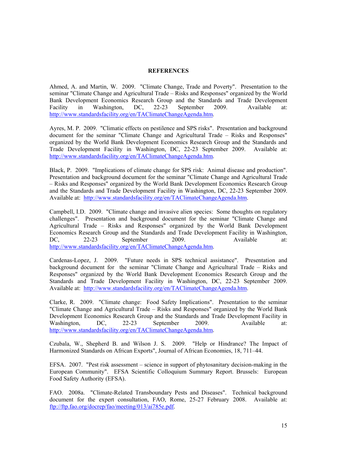#### **REFERENCES**

Ahmed, A. and Martin, W. 2009. "Climate Change, Trade and Poverty". Presentation to the seminar "Climate Change and Agricultural Trade – Risks and Responses" organized by the World Bank Development Economics Research Group and the Standards and Trade Development Facility in Washington, DC, 22-23 September 2009. Available at: Facility in Washington, DC, 22-23 September 2009. Available at: http://www.standardsfacility.org/en/TAClimateChangeAgenda.htm.

Ayres, M. P. 2009. "Climatic effects on pestilence and SPS risks". Presentation and background document for the seminar "Climate Change and Agricultural Trade – Risks and Responses" organized by the World Bank Development Economics Research Group and the Standards and Trade Development Facility in Washington, DC, 22-23 September 2009. Available at: http://www.standardsfacility.org/en/TAClimateChangeAgenda.htm.

Black, P. 2009. "Implications of climate change for SPS risk: Animal disease and production". Presentation and background document for the seminar "Climate Change and Agricultural Trade – Risks and Responses" organized by the World Bank Development Economics Research Group and the Standards and Trade Development Facility in Washington, DC, 22-23 September 2009. Available at: http://www.standardsfacility.org/en/TAClimateChangeAgenda.htm.

Campbell, I.D. 2009. "Climate change and invasive alien species: Some thoughts on regulatory challenges". Presentation and background document for the seminar "Climate Change and Agricultural Trade – Risks and Responses" organized by the World Bank Development Economics Research Group and the Standards and Trade Development Facility in Washington, DC, 22-23 September 2009. Available at: http://www.standardsfacility.org/en/TAClimateChangeAgenda.htm.

Cardenas-Lopez, J. 2009. "Future needs in SPS technical assistance". Presentation and background document for the seminar "Climate Change and Agricultural Trade – Risks and Responses" organized by the World Bank Development Economics Research Group and the Standards and Trade Development Facility in Washington, DC, 22-23 September 2009. Available at: http://www.standardsfacility.org/en/TAClimateChangeAgenda.htm.

Clarke, R. 2009. "Climate change: Food Safety Implications". Presentation to the seminar "Climate Change and Agricultural Trade – Risks and Responses" organized by the World Bank Development Economics Research Group and the Standards and Trade Development Facility in Washington, DC, 22-23 September 2009. Available at: http://www.standardsfacility.org/en/TAClimateChangeAgenda.htm.

Czubala, W., Shepherd B. and Wilson J. S. 2009. "Help or Hindrance? The Impact of Harmonized Standards on African Exports", Journal of African Economies, 18, 711–44.

EFSA. 2007. "Pest risk assessment – science in support of phytosanitary decision-making in the European Community". EFSA Scientific Colloquium Summary Report. Brussels: European Food Safety Authority (EFSA).

FAO. 2008a. "Climate-Related Transboundary Pests and Diseases". Technical background document for the expert consultation, FAO, Rome, 25-27 February 2008. Available at: ftp://ftp.fao.org/docrep/fao/meeting/013/ai785e.pdf.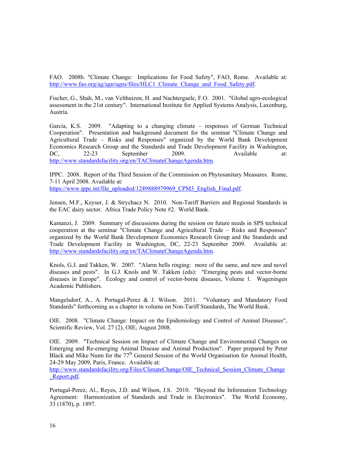FAO. 2008b. "Climate Change: Implications for Food Safety", FAO, Rome. Available at: http://www.fao.org/ag/agn/agns/files/HLC1\_Climate\_Change\_and\_Food\_Safety.pdf.

Fischer, G., Shah, M., van Velthuizen, H. and Nachtergaele, F.O. 2001. "Global agro-ecological assessment in the 21st century". International Institute for Applied Systems Analysis, Laxenburg, Austria.

Garcia, K.S. 2009. "Adapting to a changing climate – responses of German Technical Cooperation". Presentation and background document for the seminar "Climate Change and Agricultural Trade – Risks and Responses" organized by the World Bank Development Economics Research Group and the Standards and Trade Development Facility in Washington,<br>DC. 22-23 September 2009 Available at: DC, 22-23 September 2009. Available at: http://www.standardsfacility.org/en/TAClimateChangeAgenda.htm.

IPPC. 2008. Report of the Third Session of the Commission on Phytosanitary Measures. Rome, 7-11 April 2008. Available at: https://www.ippc.int/file\_uploaded/1249888979969\_CPM3\_English\_Final.pdf.

Jensen, M.F., Keyser, J. & Strychacz N. 2010. Non-Tariff Barriers and Regional Standards in the EAC dairy sector. Africa Trade Policy Note #2. World Bank.

Kamanzi, J. 2009. Summary of discussions during the session on future needs in SPS technical cooperation at the seminar "Climate Change and Agricultural Trade – Risks and Responses" organized by the World Bank Development Economics Research Group and the Standards and Trade Development Facility in Washington, DC, 22-23 September 2009. Available at: http://www.standardsfacility.org/en/TAClimateChangeAgenda.htm.

Knols, G.J. and Takken, W. 2007. "Alarm bells ringing: more of the same, and new and novel diseases and pests". In G.J. Knols and W. Takken (eds): "Emerging pests and vector-borne diseases in Europe". Ecology and control of vector-borne diseases, Volume 1. Wageningen Academic Publishers.

Mangelsdorf, A., A. Portugal-Perez & J. Wilson. 2011. "Voluntary and Mandatory Food Standards" forthcoming as a chapter in volume on Non-Tariff Standards, The World Bank.

OIE. 2008. "Climate Change: Impact on the Epidemiology and Control of Animal Diseases", Scientific Review, Vol. 27 (2), OIE, August 2008.

OIE. 2009. "Technical Session on Impact of Climate Change and Environmental Changes on Emerging and Re-emerging Animal Disease and Animal Production". Paper prepared by Peter Black and Mike Nunn for the 77<sup>th</sup> General Session of the World Organisation for Animal Health, 24-29 May 2009, Paris, France. Available at:

http://www.standardsfacility.org/Files/ClimateChange/OIE\_Technical\_Session\_Climate\_Change Report.pdf.

Portugal-Perez, Al., Reyes, J.D. and Wilson, J.S. 2010. "Beyond the Information Technology Agreement: Harmonization of Standards and Trade in Electronics". The World Economy, 33 (1870), p. 1897.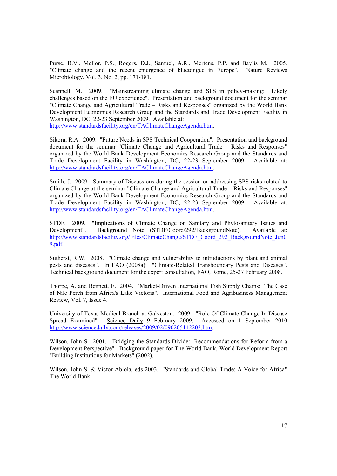Purse, B.V., Mellor, P.S., Rogers, D.J., Samuel, A.R., Mertens, P.P. and Baylis M. 2005. "Climate change and the recent emergence of bluetongue in Europe". Nature Reviews Microbiology, Vol. 3, No. 2, pp. 171-181.

Scannell, M. 2009. "Mainstreaming climate change and SPS in policy-making: Likely challenges based on the EU experience". Presentation and background document for the seminar "Climate Change and Agricultural Trade – Risks and Responses" organized by the World Bank Development Economics Research Group and the Standards and Trade Development Facility in Washington, DC, 22-23 September 2009. Available at:

http://www.standardsfacility.org/en/TAClimateChangeAgenda.htm.

Sikora, R.A. 2009. "Future Needs in SPS Technical Cooperation". Presentation and background document for the seminar "Climate Change and Agricultural Trade – Risks and Responses" organized by the World Bank Development Economics Research Group and the Standards and Trade Development Facility in Washington, DC, 22-23 September 2009. Available at: http://www.standardsfacility.org/en/TAClimateChangeAgenda.htm.

Smith, J. 2009. Summary of Discussions during the session on addressing SPS risks related to Climate Change at the seminar "Climate Change and Agricultural Trade – Risks and Responses" organized by the World Bank Development Economics Research Group and the Standards and Trade Development Facility in Washington, DC, 22-23 September 2009. Available at: http://www.standardsfacility.org/en/TAClimateChangeAgenda.htm.

STDF. 2009. "Implications of Climate Change on Sanitary and Phytosanitary Issues and Development". Background Note (STDF/Coord/292/BackgroundNote). Available at: http://www.standardsfacility.org/Files/ClimateChange/STDF\_Coord\_292\_BackgroundNote\_Jun0 9.pdf.

Sutherst, R.W. 2008. "Climate change and vulnerability to introductions by plant and animal pests and diseases". In FAO (2008a): "Climate-Related Transboundary Pests and Diseases". Technical background document for the expert consultation, FAO, Rome, 25-27 February 2008.

Thorpe, A. and Bennett, E. 2004. "Market-Driven International Fish Supply Chains: The Case of Nile Perch from Africa's Lake Victoria". International Food and Agribusiness Management Review, Vol. 7, Issue 4.

University of Texas Medical Branch at Galveston. 2009. "Role Of Climate Change In Disease Spread Examined". Science Daily 9 February 2009. Accessed on 1 September 2010 http://www.sciencedaily.com/releases/2009/02/090205142203.htm.

Wilson, John S. 2001. "Bridging the Standards Divide: Recommendations for Reform from a Development Perspective". Background paper for The World Bank, World Development Report "Building Institutions for Markets" (2002).

Wilson, John S. & Victor Abiola, eds 2003. "Standards and Global Trade: A Voice for Africa" The World Bank.